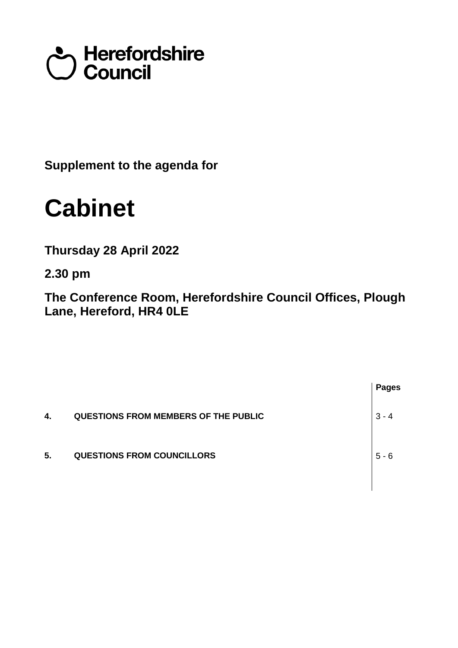# Council<br>Council

**Supplement to the agenda for**

# **Cabinet**

**Thursday 28 April 2022**

**2.30 pm**

**The Conference Room, Herefordshire Council Offices, Plough Lane, Hereford, HR4 0LE**

|    |                                             | <b>Pages</b> |
|----|---------------------------------------------|--------------|
| 4. | <b>QUESTIONS FROM MEMBERS OF THE PUBLIC</b> | $3 - 4$      |
| 5. | <b>QUESTIONS FROM COUNCILLORS</b>           | $5 - 6$      |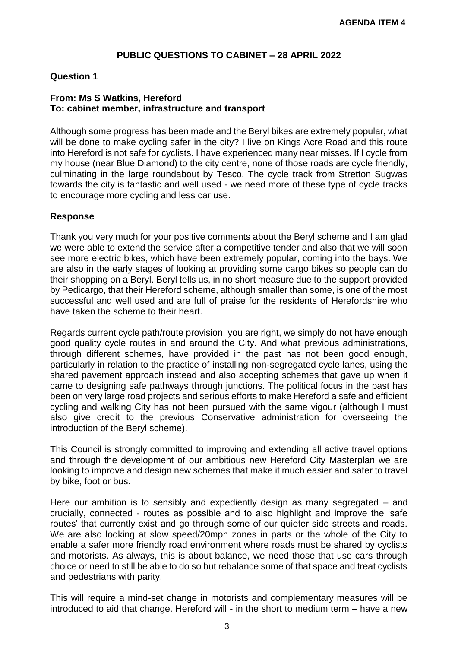# **PUBLIC QUESTIONS TO CABINET – 28 APRIL 2022**

### **Question 1**

#### **From: Ms S Watkins, Hereford To: cabinet member, infrastructure and transport**

Although some progress has been made and the Beryl bikes are extremely popular, what will be done to make cycling safer in the city? I live on Kings Acre Road and this route into Hereford is not safe for cyclists. I have experienced many near misses. If I cycle from my house (near Blue Diamond) to the city centre, none of those roads are cycle friendly, culminating in the large roundabout by Tesco. The cycle track from Stretton Sugwas towards the city is fantastic and well used - we need more of these type of cycle tracks to encourage more cycling and less car use.

#### **Response**

Thank you very much for your positive comments about the Beryl scheme and I am glad we were able to extend the service after a competitive tender and also that we will soon see more electric bikes, which have been extremely popular, coming into the bays. We are also in the early stages of looking at providing some cargo bikes so people can do their shopping on a Beryl. Beryl tells us, in no short measure due to the support provided by Pedicargo, that their Hereford scheme, although smaller than some, is one of the most successful and well used and are full of praise for the residents of Herefordshire who have taken the scheme to their heart.

Regards current cycle path/route provision, you are right, we simply do not have enough good quality cycle routes in and around the City. And what previous administrations, through different schemes, have provided in the past has not been good enough, particularly in relation to the practice of installing non-segregated cycle lanes, using the shared pavement approach instead and also accepting schemes that gave up when it came to designing safe pathways through junctions. The political focus in the past has been on very large road projects and serious efforts to make Hereford a safe and efficient cycling and walking City has not been pursued with the same vigour (although I must also give credit to the previous Conservative administration for overseeing the introduction of the Beryl scheme).

This Council is strongly committed to improving and extending all active travel options and through the development of our ambitious new Hereford City Masterplan we are looking to improve and design new schemes that make it much easier and safer to travel by bike, foot or bus.

Here our ambition is to sensibly and expediently design as many segregated – and crucially, connected - routes as possible and to also highlight and improve the 'safe routes' that currently exist and go through some of our quieter side streets and roads. We are also looking at slow speed/20mph zones in parts or the whole of the City to enable a safer more friendly road environment where roads must be shared by cyclists and motorists. As always, this is about balance, we need those that use cars through choice or need to still be able to do so but rebalance some of that space and treat cyclists and pedestrians with parity.

This will require a mind-set change in motorists and complementary measures will be introduced to aid that change. Hereford will - in the short to medium term – have a new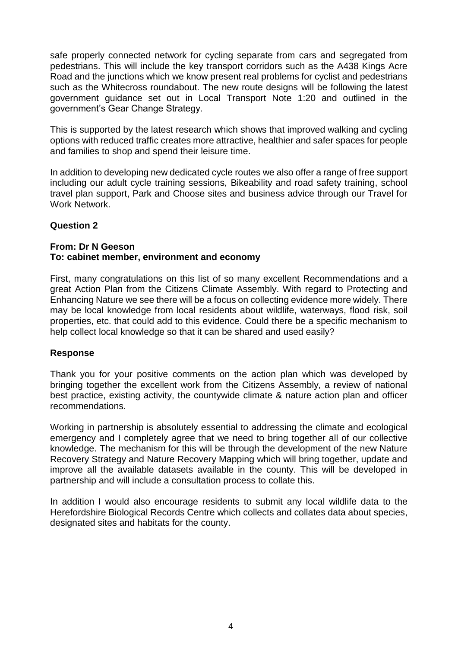safe properly connected network for cycling separate from cars and segregated from pedestrians. This will include the key transport corridors such as the A438 Kings Acre Road and the junctions which we know present real problems for cyclist and pedestrians such as the Whitecross roundabout. The new route designs will be following the latest government guidance set out in Local Transport Note 1:20 and outlined in the government's Gear Change Strategy.

This is supported by the latest research which shows that improved walking and cycling options with reduced traffic creates more attractive, healthier and safer spaces for people and families to shop and spend their leisure time.

In addition to developing new dedicated cycle routes we also offer a range of free support including our adult cycle training sessions, Bikeability and road safety training, school travel plan support, Park and Choose sites and business advice through our Travel for Work Network

# **Question 2**

#### **From: Dr N Geeson To: cabinet member, environment and economy**

First, many congratulations on this list of so many excellent Recommendations and a great Action Plan from the Citizens Climate Assembly. With regard to Protecting and Enhancing Nature we see there will be a focus on collecting evidence more widely. There may be local knowledge from local residents about wildlife, waterways, flood risk, soil properties, etc. that could add to this evidence. Could there be a specific mechanism to help collect local knowledge so that it can be shared and used easily?

# **Response**

Thank you for your positive comments on the action plan which was developed by bringing together the excellent work from the Citizens Assembly, a review of national best practice, existing activity, the countywide climate & nature action plan and officer recommendations.

Working in partnership is absolutely essential to addressing the climate and ecological emergency and I completely agree that we need to bring together all of our collective knowledge. The mechanism for this will be through the development of the new Nature Recovery Strategy and Nature Recovery Mapping which will bring together, update and improve all the available datasets available in the county. This will be developed in partnership and will include a consultation process to collate this.

In addition I would also encourage residents to submit any local wildlife data to the Herefordshire Biological Records Centre which collects and collates data about species, designated sites and habitats for the county.